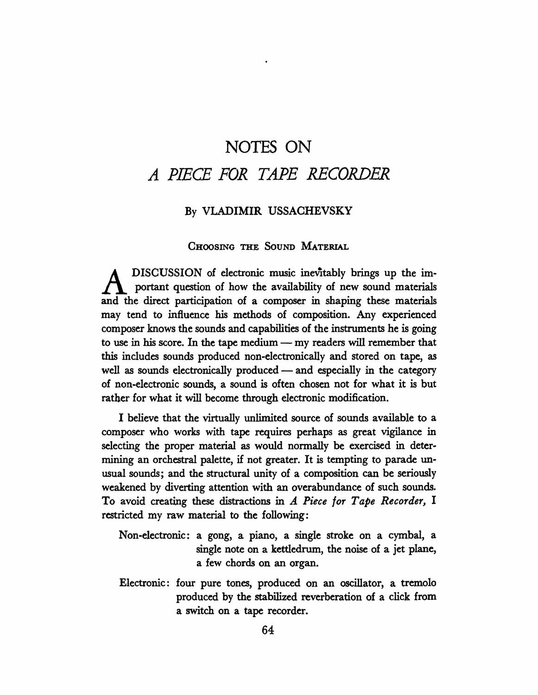# NOTES ON

## *A PIECE FOR TAPE RECORDER*

## By VLADIMIR USSACHEVSKY

## CHOOSING THE SOUND MATERIAL

DISCUSSION of electronic music inevitably brings up the important question of how the availability of new sound materials and the direct participation of a composer in shaping these materials may tend to influence his methods of composition. Any experienced composer knows the sounds and capabilities of the instruments he is going to use in his score. In the tape medium  $-$  my readers will remember that this includes sounds produced non-electronically and stored on tape, as well as sounds electronically produced  $-$  and especially in the category of non-electronic sounds, a sound is often chosen not for what it is but rather for what it will become through electronic modification.

I believe that the virtually unlimited source of sounds available to a composer who works with tape requires perhaps as great vigilance in selecting the proper material as would normally be exercised in determining an orchestral palette, if not greater. It is tempting to parade unusual sounds; and the structural unity of a composition can be seriously weakened by diverting attention with an overabundance of such sounds. To avoid creating these distractions in *A. Piece for Tape Recorder,* I restricted my raw material to the following:

- Non-electronic: a gong, a piano, a single stroke on a cymbal, a single note on a kettledrum, the noise of a jet plane, a few chords on an organ.
- Electronic: four pure tones, produced on an oscillator, a tremolo produced by the stabilized reverberation of a click from a switch on a tape recorder.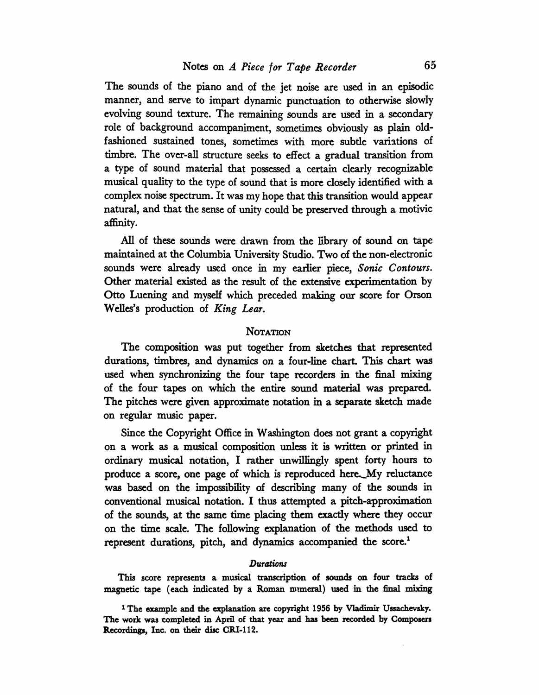The sounds of the piano and of the jet noise are used in an episodic manner, and serve to impart dynamic punctuation to otherwise slowly evolving sound texture. The remaining sounds are used in a secondary role of background accompaniment, sometimes obviously as plain oldfashioned sustained tones, sometimes with more subtle variations of timbre. The over-all structure seeks to effect a gradual transition from a type of sound material that possessed a certain clearly recognizable musical quality to the type of sound that is more closely identified with a complex noise spectrum.. It was my hope that this transition would appear natural, and that the sense of unity could be preserved through a motivic affinity.

All of these sounds were drawn from the library of sound on tape maintained at the Columbia University Studio. Two of the non-electronic sounds were already used once in my earlier piece, *Sonic Contours.*  Other material existed as the result of the extensive experimentation by Otto Luening and myself which preceded making our score for Orson Welles's production of *King Lear.* 

#### **NOTATION**

The composition was put together from sketches that represented durations, timbres, and dynamics on a four-line chart. This chart was used when synchronizing the four tape recorders in the final mixing of the four tapes on which the entire sound material was prepared. The pitches were given approximate notation in a separate sketch made on regular music paper.

Since the Copyright Office in Washington does not grant a copyright on a work as a musical composition unless it is written or printed in ordinary musical notation, I rather unwillingly spent forty hours to produce a score, one page of which is reproduced here\_My reluctance was based on the impossibility of describing many of the sounds in conventional musical notation. I thus attempted a pitch-approximation of the sounds, at the same time placing them exactly where they occur on the time scale. The following explanation of the methods used to represent durations, pitch, and dynamics accompanied the score.<sup>1</sup>

#### Durations

This score represents a musical transcription of sounds on four tracks of magnetic tape (each indicated by a Roman numeral) used in the final mixing

<sup>1</sup> The example and the explanation are copyright 1956 by Vladimir Ussachevsky. The work was completed in April of that year and has been recorded by Composers Recordings, Inc. on their disc CRI-112.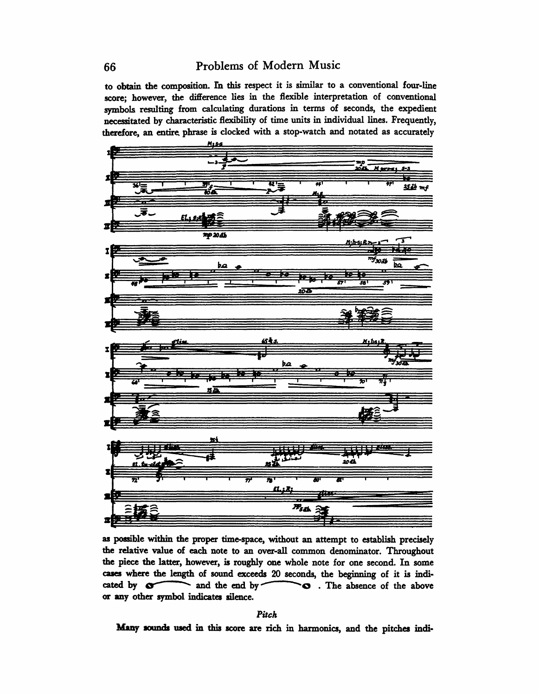## 66 Problems of Modern Music

to obtain the composition. In this respect it is similar to a conventional four-line score; however, the difference lies in the flexible interpretation of conventional symbols resulting from calculating durations in terms of seconds, the expedient necessitated by characteristic flexibility of time units in individual lines. Frequently, therefore, an entire. phrase is clocked with a stop-watch and notated as accurately



as possible within the proper time-space, without an attempt to establish precisely the relative value of each note to an over-all common denominator. Throughout the piece the latter, however, is roughly one whole note for one second. In some cases where the length of sound exceeds 20 seconds, the beginning of it is indi· cated by  $\sim$  and the end by  $\sim$  . The absence of the above or any other symbol indicates silence.

#### *Pitch*

Many sounds used in this score are rich in harmonics, and the pitches indi-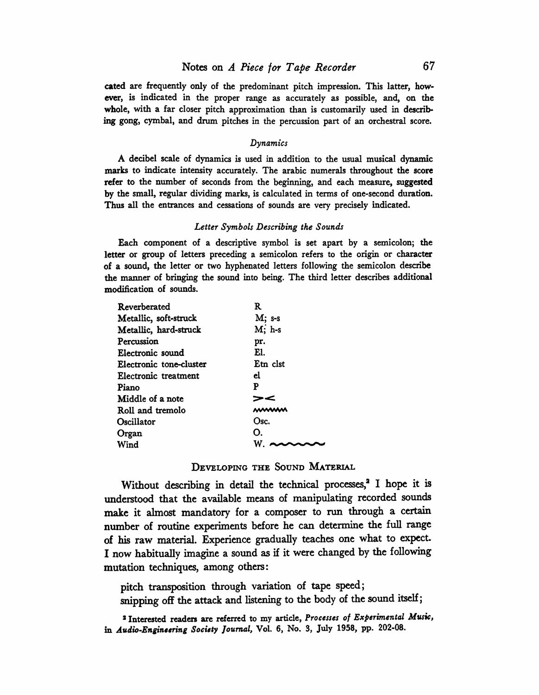## Notes on *A Piece for Tape Recorder* 67

cated are frequently only of the predominant pitch impression. This latter, however, is indicated in the proper range as accurately as possible, and, on the whole, with a far closer pitch approximation than is customarily used in describing gong, cymbal, and drum pitches in the percussion part of an orchestral score.

#### *Dynamics*

A decibel scale of dynamics is used in addition to the usual musical dynamic marks to indicate intensity accurately. The arabic numerals throughout the score refer to the number of seconds from the beginning, and each measure, suggested by the small, regular dividing marks, is calculated in terms of one-second duration. Thus all the entrances and cessations of sounds are very precisely indicated.

#### *Letter Symbols Describing the Sounds*

Each component of a descriptive symbol is set apart by a semicolon; the letter or group of letters preceding a semicolon refers to the origin or character of a sound, the letter or two hyphenated letters following the semicolon describe the manner of bringing the sound into being. The third letter describes additional modification of sounds.

| Reverberated            | R         |
|-------------------------|-----------|
| Metallic, soft-struck   | $M$ ; s-s |
| Metallic, hard-struck   | $M; h-s$  |
| Percussion              | pr.       |
| Electronic sound        | E1.       |
| Electronic tone-cluster | Etn clst  |
| Electronic treatment    | el        |
| Piano                   | P         |
| Middle of a note        |           |
| Roll and tremolo        |           |
| Oscillator              | Osc.      |
| Organ                   | O.        |
| Wind                    |           |

DEVELOPING THE SOUND MATERIAL

Without describing in detail the technical processes,<sup>2</sup> I hope it is understood that the available means of manipulating recorded sounds make it almost mandatory for a composer to run through a certain number of routine experiments before he can determine the full range of his raw material. Experience gradually teaches one what to expect. I now habitually imagine a sound as if it were changed by the following mutation techniques, among others:

pitch transposition through variation of tape speed; snipping off the attack and listening to the body of the sound itself;

<sup>2</sup> Interested readers are referred to my article, Processes of *Experimental Music*, in Audio-Engineering Society Journal, Vol. 6, No. 3, July 1958, pp. 202-08.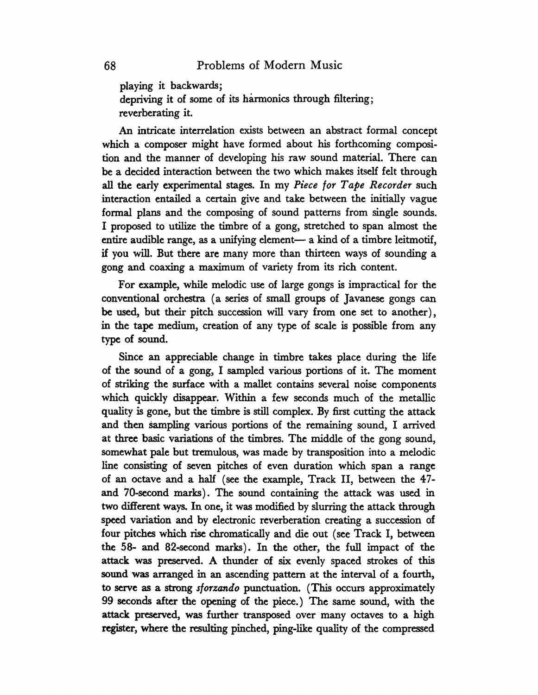playing it backwards; depriving it of some of its harmonics through filtering; reverberating it.

An intricate interrelation exists between an abstract formal concept which a composer might have formed about his forthcoming composition and the manner of developing his raw sound material. There can be a decided interaction between the two which makes itself felt through all the early experimental stages. In my *Piece for Tape Recorder* such interaction entailed a certain give and take between the initially vague fonnal plans and the composing of sound patterns from single sounds. I proposed to utilize the timbre of a gong, stretched to span almost the entire audible range, as a unifying element- a kind of a timbre leitmotif, if you will. But there are many more than thirteen ways of sounding a gong and coaxing a maximum of variety from its rich content.

For example, while melodic use of large gongs is impractical for the conventional orchestra (a series of small groups of Javanese gongs can be used, but their pitch succession will vary from one set to another), in the tape medium, creation of any type of scale is possible from any type of sound.

Since an appreciable change in timbre takes place during the life of the sound of a gong, I sampled various portions of it. The moment of striking the surface with a mallet contains several noise components which quickly disappear. Within a few seconds much of the metallic quality is gone, but the timbre is still complex. By first cutting the attack and then sampling various portions of the remaining sound, I arrived at three basic variations of the timbres. The middle of the gong sound, somewhat pale but tremulous, was made by transposition into a melodic line consisting of seven pitches of even duration which span a range of an octave and a half (see the example, Track II, between the 47 and 70-second marks). The sound containing the attack was used in two different ways. In one, it was modified by slurring the attack through speed variation and by electronic reverberation creating a succession of four pitches which rise chromatically and die out (see Track I, between the 58- and 82-second marks). In the other, the full impact of the attack was preserved. A thunder of six evenly spaced strokes of this sound was arranged in an ascending pattern at the interval of a fourth, to serve as a strong *sforzando* punctuation. (This occurs approximately 99 seconds after the opening of the piece.) The same sound, with the attack preserved, was further transposed over many octaves to a high register, where the resulting pinched, ping-like quality of the compressed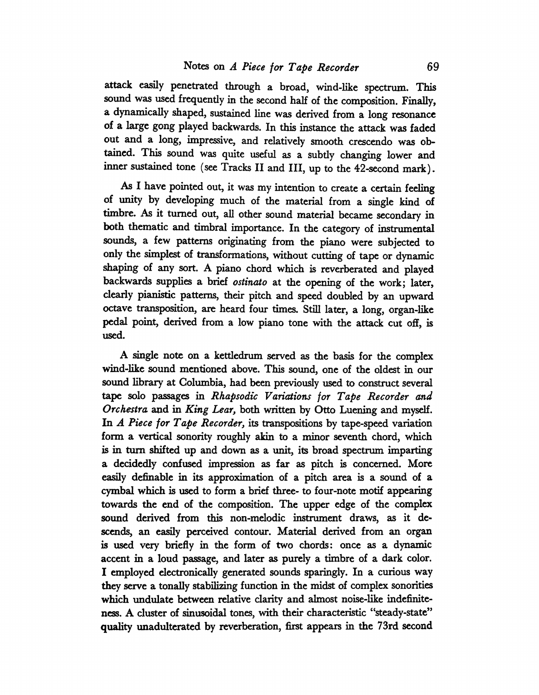attack easily penetrated through a broad, wind-like spectrum. This sound was used frequently in the second half of the composition. Finally, a dynamically shaped, sustained line was derived from a long resonance of a large gong played backwards. In this instance the attack was faded out and a long, impressive, and relatively smooth crescendo was obtained. This sound was quite useful as a subtly changing lower and inner sustained tone (see Tracks II and III, up to the 42-second mark).

As I have pointed out, it was my intention to create a certain feeling of unity by developing much of the material from a single kind of timbre. As it turned out, all other sound material became secondary in both thematic and timbral importance. In the category of instrumental sounds, a few patterns originating from the piano were subjected to only the simplest of transformations, without cutting of tape or dynamic shaping of any sort. A piano chord which is reverberated and played backwards supplies a brief *ostinato* at the opening of the work; later, clearly pianistic patterns, their pitch and speed doubled by an upward octave transposition, are heard four times. Still later, a long, organ-like pedal point, derived from a low piano tone with the attack cut off, is used.

A single note on a kettledrum served as the basis for the complex wind-like sound mentioned above. This sound, one of the oldest in our sound library at Columbia, had been previously used to construct several tape solo passages in *Rhapsodic Variations for Tape Recorder and Orchestra* and in *King Lear,* both written by Otto Luening and myself. In *A Piece for Tape Recorder,* its transpositions by tape-speed variation form a vertical sonority roughly akin to a minor seventh chord, which is in tum shifted up and down as a unit, its broad spectrum imparting a decidedly confused impression as far as pitch is concerned. More easily definable in its approximation of a pitch area is a sound of a cymbal which is used to form a brief three- to four-note motif appearing towards the end of the composition. The upper edge of the complex sound derived from this non-melodic instrument draws, as it descends, an easily perceived contour. Material derived from an organ is used very briefly in the form of two chords: once as a dynamic accent in a loud passage, and later as purely a timbre of a dark color. I employed electronically generated sounds sparingly. In a curious way they serve a tonally stabilizing function in the midst of complex sonorities which undulate between relative clarity and almost noise-like indefiniteness. A cluster of sinusoidal tones, with their characteristic "steady-state" quality unadulterated by reverberation, first appears in the 73rd second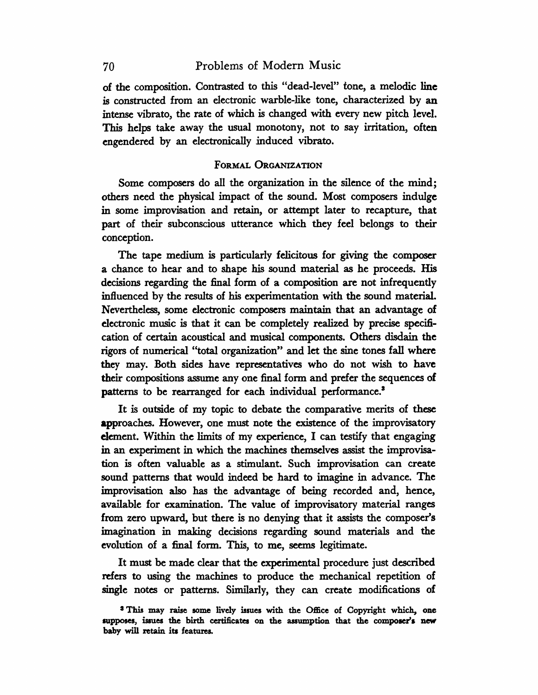## 70 Problems of Modern Music

of the composition. Contrasted to this "dead-level" tone, a melodic line *is* constructed from an electronic warble-like tone, characterized by an intense vibrato, the rate of which is changed with every new pitch level. This helps take away the usual monotony, not to say irritation, often engendered by an electronically induced vibrato.

### FORMAL ORGANIZATION

Some composers do all the organization in the silence of the mind; others need the physical impact of the sound. Most composers indulge in some improvisation and retain, or attempt later to recapture, that part of their subconscious utterance which they feel belongs to their conception.

The tape medium is particularly felicitous for giving the composer a chance to hear and to shape his sound material as he proceeds. His decisions regarding the final form of a composition are not infrequently influenced by the results of his experimentation with the sound material. Nevertheless, some electronic composers maintain that an advantage of electronic music is that it can be completely realized by precise specification of certain acoustical and musical components. Others disdain the rigors of numerical "total organization" and let the sine tones fall where they may. Both sides have representatives who do not wish to have their compositions assume anyone final fonn and prefer the sequences of patterns to be rearranged for each individual performance.<sup>3</sup>

It is outside of my topic to debate the comparative merits of these approaches. However, one must note the existence of the improvisatory element. Within the limits of my experience, I can testify that engaging in an experiment in which the machines themselves assist the improvisation is often valuable as a stimulant. Such improvisation can create sound patterns that would indeed be hard to imagine in advance. The improvisation also has the advantage of being recorded and, hence, available for examination. The value of improvisatory material ranges from zero upward, but there is no denying that it assists the composer's imagination in making decisions regarding sound materials and the evolution of a final form. This, to me, seems legitimate.

It must be made clear that the experimental procedure just described refers to using the machines to produce the mechanical repetition of single notes or patterns. Similarly, they can create modifications of

<sup>&</sup>lt;sup>3</sup> This may raise some lively issues with the Office of Copyright which, one supposes, issues the birth certificates on the assumption that the composer's new baby will retain its features.